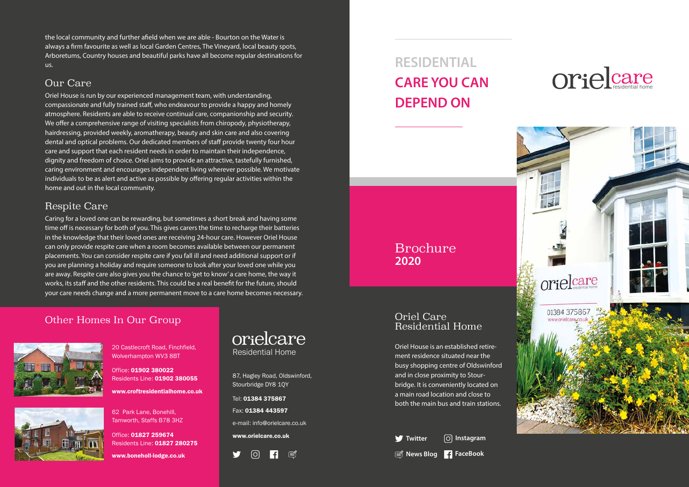#### Oriel Care Residential Home

Oriel House is an established retire ment residence situated near the busy shopping centre of Oldswinford and in close proximity to Stour bridge. It is conveniently located on a main road location and close to both the main bus and train stations.

**Twitter**  $\boxed{\circ}$  Instagram **News Blog FaceBook**

# orielcare



### Brochure **2020**

orielcare Residential Home

87, Hagley Road, Oldswinford, Stourbridge DY8 1QY

Tel: 01384 375867

Fax: 01384 443597

e-mail: info@orielcare.co.uk

www.orielcare.co.uk



## **RESIDENTIAL CARE YOU CAN DEPEND ON**

the local community and further afield when we are able - Bourton on the Water is always a firm favourite as well as local Garden Centres, The Vineyard, local beauty spots, Arboretums, Country houses and beautiful parks have all become regular destinations for us.

> Office: 01902 380022 Residents Line: 01902 380055

#### Our Care

Oriel House is run by our experienced management team, with understanding, compassionate and fully trained staff, who endeavour to provide a happy and homely atmosphere. Residents are able to receive continual care, companionship and security. We offer a comprehensive range of visiting specialists from chiropody, physiotherapy, hairdressing, provided weekly, aromatherapy, beauty and skin care and also covering dental and optical problems. Our dedicated members of staff provide twenty four hour care and support that each resident needs in order to maintain their independence, dignity and freedom of choice. Oriel aims to provide an attractive, tastefully furnished, caring environment and encourages independent living wherever possible. We motivate individuals to be as alert and active as possible by offering regular activities within the home and out in the local community.

#### Respite Care

Caring for a loved one can be rewarding, but sometimes a short break and having some time off is necessary for both of you. This gives carers the time to recharge their batteries in the knowledge that their loved ones are receiving 24-hour care. However Oriel House can only provide respite care when a room becomes available between our permanent placements. You can consider respite care if you fall ill and need additional support or if you are planning a holiday and require someone to look after your loved one while you are away. Respite care also gives you the chance to 'get to know' a care home, the way it works, its staff and the other residents. This could be a real benefit for the future, should your care needs change and a more permanent move to a care home becomes necessary.

#### Other Homes In Our Group





20 Castlecroft Road, Finchfield, Wolverhampton WV3 8BT

www.croftresidentialhome.co.uk

62 Park Lane, Bonehill, Tamworth, Staffs B78 3HZ

Office: 01827 259674 Residents Line: 01827 280275

www.boneholl-lodge.co.uk